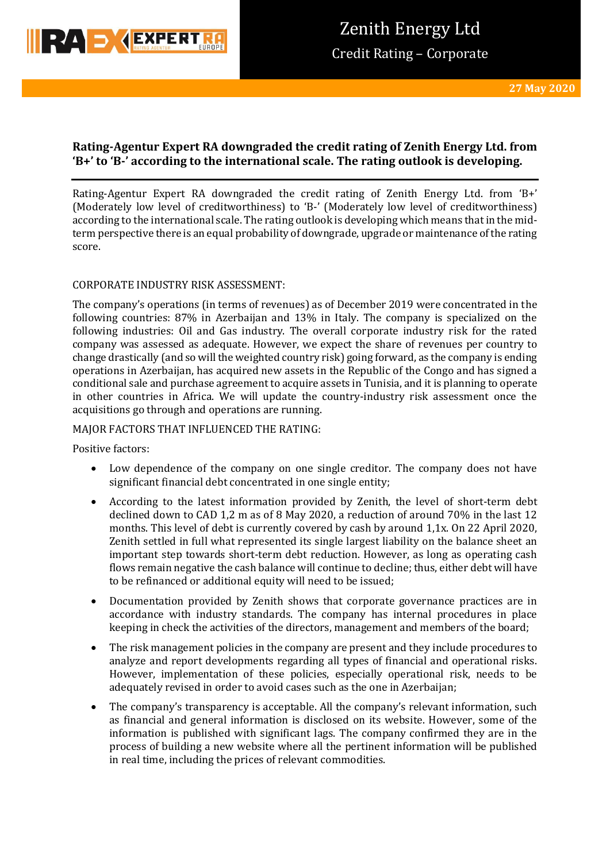

# **Rating-Agentur Expert RA downgraded the credit rating of Zenith Energy Ltd. from 'B+' to 'B-' according to the international scale. The rating outlook is developing.**

Rating-Agentur Expert RA downgraded the credit rating of Zenith Energy Ltd. from 'B+' (Moderately low level of creditworthiness) to 'B-' (Moderately low level of creditworthiness) according to the international scale. The rating outlook is developing which means that in the midterm perspective there is an equal probability of downgrade, upgrade or maintenance of the rating score.

# CORPORATE INDUSTRY RISK ASSESSMENT:

The company's operations (in terms of revenues) as of December 2019 were concentrated in the following countries: 87% in Azerbaijan and 13% in Italy. The company is specialized on the following industries: Oil and Gas industry. The overall corporate industry risk for the rated company was assessed as adequate. However, we expect the share of revenues per country to change drastically (and so will the weighted country risk) going forward, as the company is ending operations in Azerbaijan, has acquired new assets in the Republic of the Congo and has signed a conditional sale and purchase agreement to acquire assets in Tunisia, and it is planning to operate in other countries in Africa. We will update the country-industry risk assessment once the acquisitions go through and operations are running.

## MAJOR FACTORS THAT INFLUENCED THE RATING:

Positive factors:

- Low dependence of the company on one single creditor. The company does not have significant financial debt concentrated in one single entity;
- According to the latest information provided by Zenith, the level of short-term debt declined down to CAD 1,2 m as of 8 May 2020, a reduction of around 70% in the last 12 months. This level of debt is currently covered by cash by around 1,1x. On 22 April 2020, Zenith settled in full what represented its single largest liability on the balance sheet an important step towards short-term debt reduction. However, as long as operating cash flows remain negative the cash balance will continue to decline; thus, either debt will have to be refinanced or additional equity will need to be issued;
- Documentation provided by Zenith shows that corporate governance practices are in accordance with industry standards. The company has internal procedures in place keeping in check the activities of the directors, management and members of the board;
- The risk management policies in the company are present and they include procedures to analyze and report developments regarding all types of financial and operational risks. However, implementation of these policies, especially operational risk, needs to be adequately revised in order to avoid cases such as the one in Azerbaijan;
- The company's transparency is acceptable. All the company's relevant information, such as financial and general information is disclosed on its website. However, some of the information is published with significant lags. The company confirmed they are in the process of building a new website where all the pertinent information will be published in real time, including the prices of relevant commodities.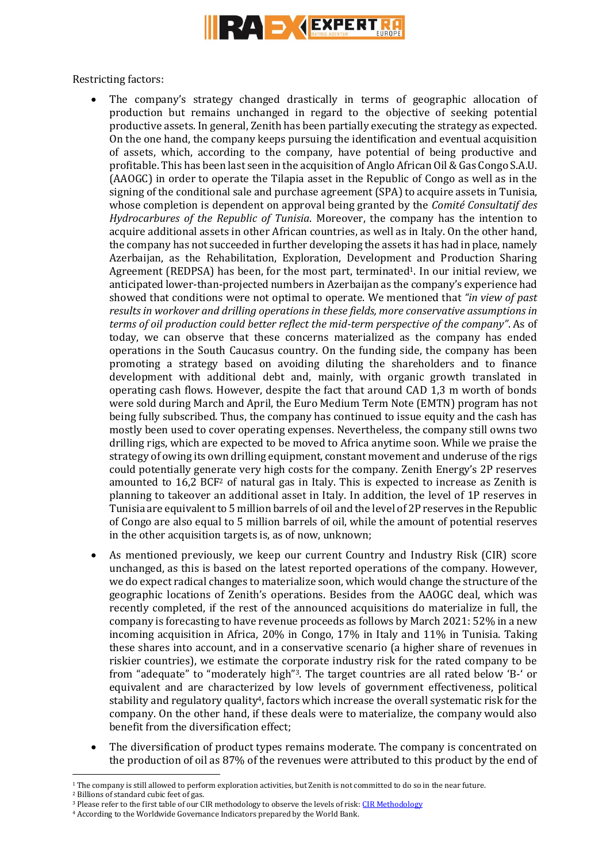

Restricting factors:

- The company's strategy changed drastically in terms of geographic allocation of production but remains unchanged in regard to the objective of seeking potential productive assets. In general, Zenith has been partially executing the strategy as expected. On the one hand, the company keeps pursuing the identification and eventual acquisition of assets, which, according to the company, have potential of being productive and profitable. This has been last seen in the acquisition of Anglo African Oil & Gas Congo S.A.U. (AAOGC) in order to operate the Tilapia asset in the Republic of Congo as well as in the signing of the conditional sale and purchase agreement (SPA) to acquire assets in Tunisia, whose completion is dependent on approval being granted by the *Comité Consultatif des Hydrocarbures of the Republic of Tunisia*. Moreover, the company has the intention to acquire additional assets in other African countries, as well as in Italy. On the other hand, the company has not succeeded in further developing the assets it has had in place, namely Azerbaijan, as the Rehabilitation, Exploration, Development and Production Sharing Agreement (REDPSA) has been, for the most part, terminated1. In our initial review, we anticipated lower-than-projected numbers in Azerbaijan as the company's experience had showed that conditions were not optimal to operate. We mentioned that *"in view of past results in workover and drilling operations in these fields, more conservative assumptions in terms of oil production could better reflect the mid-term perspective of the company"*. As of today, we can observe that these concerns materialized as the company has ended operations in the South Caucasus country. On the funding side, the company has been promoting a strategy based on avoiding diluting the shareholders and to finance development with additional debt and, mainly, with organic growth translated in operating cash flows. However, despite the fact that around CAD 1,3 m worth of bonds were sold during March and April, the Euro Medium Term Note (EMTN) program has not being fully subscribed. Thus, the company has continued to issue equity and the cash has mostly been used to cover operating expenses. Nevertheless, the company still owns two drilling rigs, which are expected to be moved to Africa anytime soon. While we praise the strategy of owing its own drilling equipment, constant movement and underuse of the rigs could potentially generate very high costs for the company. Zenith Energy's 2P reserves amounted to 16,2 BCF<sup>2</sup> of natural gas in Italy. This is expected to increase as Zenith is planning to takeover an additional asset in Italy. In addition, the level of 1P reserves in Tunisia are equivalent to 5 million barrels of oil and the level of 2P reserves in the Republic of Congo are also equal to 5 million barrels of oil, while the amount of potential reserves in the other acquisition targets is, as of now, unknown;
- As mentioned previously, we keep our current Country and Industry Risk (CIR) score unchanged, as this is based on the latest reported operations of the company. However, we do expect radical changes to materialize soon, which would change the structure of the geographic locations of Zenith's operations. Besides from the AAOGC deal, which was recently completed, if the rest of the announced acquisitions do materialize in full, the company is forecasting to have revenue proceeds as follows by March 2021: 52% in a new incoming acquisition in Africa, 20% in Congo, 17% in Italy and 11% in Tunisia. Taking these shares into account, and in a conservative scenario (a higher share of revenues in riskier countries), we estimate the corporate industry risk for the rated company to be from "adequate" to "moderately high" <sup>3</sup>. The target countries are all rated below 'B-' or equivalent and are characterized by low levels of government effectiveness, political stability and regulatory quality4, factors which increase the overall systematic risk for the company. On the other hand, if these deals were to materialize, the company would also benefit from the diversification effect;
- The diversification of product types remains moderate. The company is concentrated on the production of oil as 87% of the revenues were attributed to this product by the end of

**<sup>.</sup>** <sup>1</sup> The company is still allowed to perform exploration activities, but Zenith is not committed to do so in the near future.

<sup>2</sup> Billions of standard cubic feet of gas.

<sup>3</sup> Please refer to the first table of our CIR methodology to observe the levels of risk: [CIR Methodology](https://www.raexpert.eu/files/Methodology_Anchor_CIR_November2018.pdf)

<sup>4</sup> According to the Worldwide Governance Indicators prepared by the World Bank.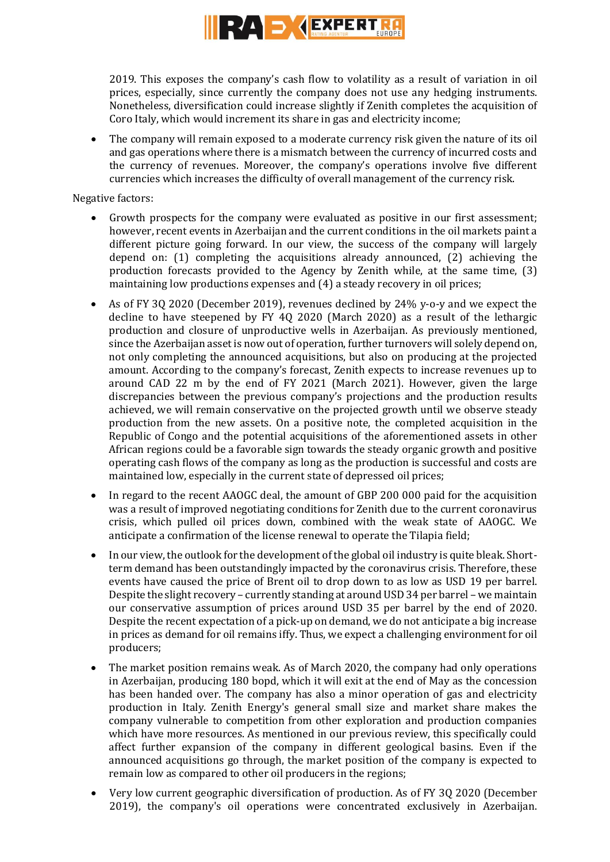

2019. This exposes the company's cash flow to volatility as a result of variation in oil prices, especially, since currently the company does not use any hedging instruments. Nonetheless, diversification could increase slightly if Zenith completes the acquisition of Coro Italy, which would increment its share in gas and electricity income;

 The company will remain exposed to a moderate currency risk given the nature of its oil and gas operations where there is a mismatch between the currency of incurred costs and the currency of revenues. Moreover, the company's operations involve five different currencies which increases the difficulty of overall management of the currency risk.

Negative factors:

- Growth prospects for the company were evaluated as positive in our first assessment; however, recent events in Azerbaijan and the current conditions in the oil markets paint a different picture going forward. In our view, the success of the company will largely depend on: (1) completing the acquisitions already announced, (2) achieving the production forecasts provided to the Agency by Zenith while, at the same time, (3) maintaining low productions expenses and (4) a steady recovery in oil prices;
- As of FY 3Q 2020 (December 2019), revenues declined by 24% y-o-y and we expect the decline to have steepened by FY 4Q 2020 (March 2020) as a result of the lethargic production and closure of unproductive wells in Azerbaijan. As previously mentioned, since the Azerbaijan asset is now out of operation, further turnovers will solely depend on, not only completing the announced acquisitions, but also on producing at the projected amount. According to the company's forecast, Zenith expects to increase revenues up to around CAD 22 m by the end of FY 2021 (March 2021). However, given the large discrepancies between the previous company's projections and the production results achieved, we will remain conservative on the projected growth until we observe steady production from the new assets. On a positive note, the completed acquisition in the Republic of Congo and the potential acquisitions of the aforementioned assets in other African regions could be a favorable sign towards the steady organic growth and positive operating cash flows of the company as long as the production is successful and costs are maintained low, especially in the current state of depressed oil prices;
- In regard to the recent AAOGC deal, the amount of GBP 200 000 paid for the acquisition was a result of improved negotiating conditions for Zenith due to the current coronavirus crisis, which pulled oil prices down, combined with the weak state of AAOGC. We anticipate a confirmation of the license renewal to operate the Tilapia field;
- In our view, the outlook for the development of the global oil industry is quite bleak. Shortterm demand has been outstandingly impacted by the coronavirus crisis. Therefore, these events have caused the price of Brent oil to drop down to as low as USD 19 per barrel. Despite the slight recovery – currently standing at around USD 34 per barrel – we maintain our conservative assumption of prices around USD 35 per barrel by the end of 2020. Despite the recent expectation of a pick-up on demand, we do not anticipate a big increase in prices as demand for oil remains iffy. Thus, we expect a challenging environment for oil producers;
- The market position remains weak. As of March 2020, the company had only operations in Azerbaijan, producing 180 bopd, which it will exit at the end of May as the concession has been handed over. The company has also a minor operation of gas and electricity production in Italy. Zenith Energy's general small size and market share makes the company vulnerable to competition from other exploration and production companies which have more resources. As mentioned in our previous review, this specifically could affect further expansion of the company in different geological basins. Even if the announced acquisitions go through, the market position of the company is expected to remain low as compared to other oil producers in the regions;
- Very low current geographic diversification of production. As of FY 3Q 2020 (December 2019), the company's oil operations were concentrated exclusively in Azerbaijan.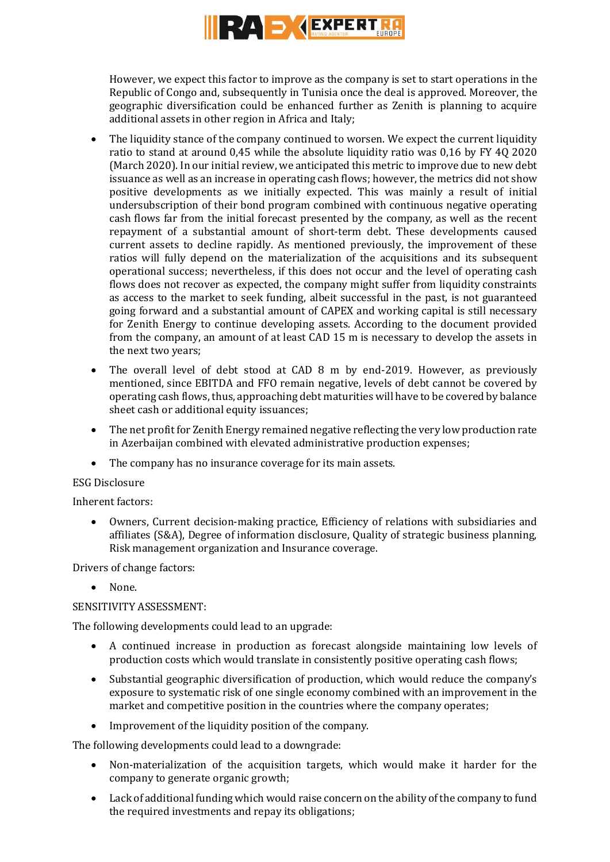

However, we expect this factor to improve as the company is set to start operations in the Republic of Congo and, subsequently in Tunisia once the deal is approved. Moreover, the geographic diversification could be enhanced further as Zenith is planning to acquire additional assets in other region in Africa and Italy;

- The liquidity stance of the company continued to worsen. We expect the current liquidity ratio to stand at around 0,45 while the absolute liquidity ratio was 0,16 by FY 4Q 2020 (March 2020). In our initial review, we anticipated this metric to improve due to new debt issuance as well as an increase in operating cash flows; however, the metrics did not show positive developments as we initially expected. This was mainly a result of initial undersubscription of their bond program combined with continuous negative operating cash flows far from the initial forecast presented by the company, as well as the recent repayment of a substantial amount of short-term debt. These developments caused current assets to decline rapidly. As mentioned previously, the improvement of these ratios will fully depend on the materialization of the acquisitions and its subsequent operational success; nevertheless, if this does not occur and the level of operating cash flows does not recover as expected, the company might suffer from liquidity constraints as access to the market to seek funding, albeit successful in the past, is not guaranteed going forward and a substantial amount of CAPEX and working capital is still necessary for Zenith Energy to continue developing assets. According to the document provided from the company, an amount of at least CAD 15 m is necessary to develop the assets in the next two years;
- The overall level of debt stood at CAD 8 m by end-2019. However, as previously mentioned, since EBITDA and FFO remain negative, levels of debt cannot be covered by operating cash flows, thus, approaching debt maturities will have to be covered by balance sheet cash or additional equity issuances;
- The net profit for Zenith Energy remained negative reflecting the very low production rate in Azerbaijan combined with elevated administrative production expenses;
- The company has no insurance coverage for its main assets.

## ESG Disclosure

Inherent factors:

 Owners, Current decision-making practice, Efficiency of relations with subsidiaries and affiliates (S&A), Degree of information disclosure, Quality of strategic business planning, Risk management organization and Insurance coverage.

Drivers of change factors:

None.

### SENSITIVITY ASSESSMENT:

The following developments could lead to an upgrade:

- A continued increase in production as forecast alongside maintaining low levels of production costs which would translate in consistently positive operating cash flows;
- Substantial geographic diversification of production, which would reduce the company's exposure to systematic risk of one single economy combined with an improvement in the market and competitive position in the countries where the company operates;
- Improvement of the liquidity position of the company.

The following developments could lead to a downgrade:

- Non-materialization of the acquisition targets, which would make it harder for the company to generate organic growth;
- Lack of additional funding which would raise concern on the ability of the company to fund the required investments and repay its obligations;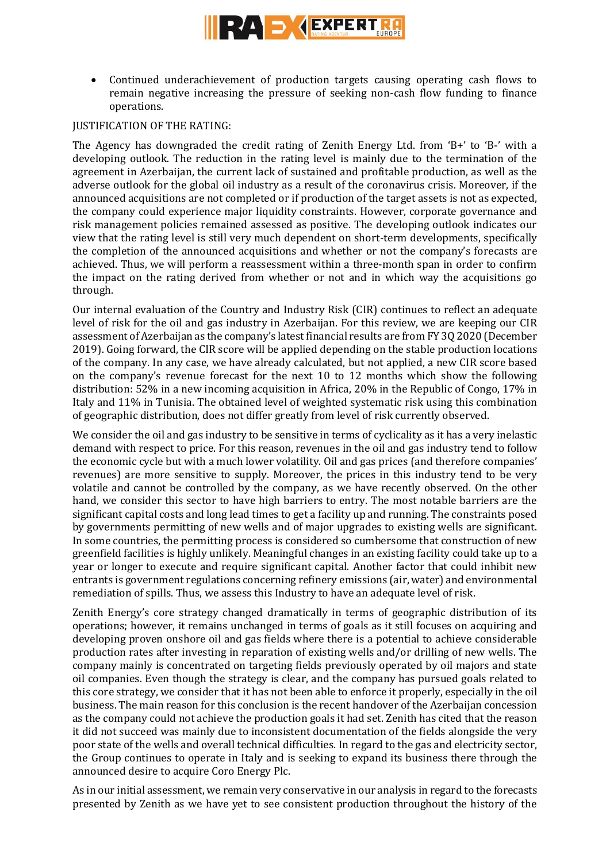

 Continued underachievement of production targets causing operating cash flows to remain negative increasing the pressure of seeking non-cash flow funding to finance operations.

### JUSTIFICATION OF THE RATING:

The Agency has downgraded the credit rating of Zenith Energy Ltd. from 'B+' to 'B-' with a developing outlook. The reduction in the rating level is mainly due to the termination of the agreement in Azerbaijan, the current lack of sustained and profitable production, as well as the adverse outlook for the global oil industry as a result of the coronavirus crisis. Moreover, if the announced acquisitions are not completed or if production of the target assets is not as expected, the company could experience major liquidity constraints. However, corporate governance and risk management policies remained assessed as positive. The developing outlook indicates our view that the rating level is still very much dependent on short-term developments, specifically the completion of the announced acquisitions and whether or not the company's forecasts are achieved. Thus, we will perform a reassessment within a three-month span in order to confirm the impact on the rating derived from whether or not and in which way the acquisitions go through.

Our internal evaluation of the Country and Industry Risk (CIR) continues to reflect an adequate level of risk for the oil and gas industry in Azerbaijan. For this review, we are keeping our CIR assessment of Azerbaijan as the company's latest financial results are from FY 3Q 2020 (December 2019). Going forward, the CIR score will be applied depending on the stable production locations of the company. In any case, we have already calculated, but not applied, a new CIR score based on the company's revenue forecast for the next 10 to 12 months which show the following distribution: 52% in a new incoming acquisition in Africa, 20% in the Republic of Congo, 17% in Italy and 11% in Tunisia. The obtained level of weighted systematic risk using this combination of geographic distribution, does not differ greatly from level of risk currently observed.

We consider the oil and gas industry to be sensitive in terms of cyclicality as it has a very inelastic demand with respect to price. For this reason, revenues in the oil and gas industry tend to follow the economic cycle but with a much lower volatility. Oil and gas prices (and therefore companies' revenues) are more sensitive to supply. Moreover, the prices in this industry tend to be very volatile and cannot be controlled by the company, as we have recently observed. On the other hand, we consider this sector to have high barriers to entry. The most notable barriers are the significant capital costs and long lead times to get a facility up and running. The constraints posed by governments permitting of new wells and of major upgrades to existing wells are significant. In some countries, the permitting process is considered so cumbersome that construction of new greenfield facilities is highly unlikely. Meaningful changes in an existing facility could take up to a year or longer to execute and require significant capital. Another factor that could inhibit new entrants is government regulations concerning refinery emissions (air, water) and environmental remediation of spills. Thus, we assess this Industry to have an adequate level of risk.

Zenith Energy's core strategy changed dramatically in terms of geographic distribution of its operations; however, it remains unchanged in terms of goals as it still focuses on acquiring and developing proven onshore oil and gas fields where there is a potential to achieve considerable production rates after investing in reparation of existing wells and/or drilling of new wells. The company mainly is concentrated on targeting fields previously operated by oil majors and state oil companies. Even though the strategy is clear, and the company has pursued goals related to this core strategy, we consider that it has not been able to enforce it properly, especially in the oil business. The main reason for this conclusion is the recent handover of the Azerbaijan concession as the company could not achieve the production goals it had set. Zenith has cited that the reason it did not succeed was mainly due to inconsistent documentation of the fields alongside the very poor state of the wells and overall technical difficulties. In regard to the gas and electricity sector, the Group continues to operate in Italy and is seeking to expand its business there through the announced desire to acquire Coro Energy Plc.

As in our initial assessment, we remain very conservative in our analysis in regard to the forecasts presented by Zenith as we have yet to see consistent production throughout the history of the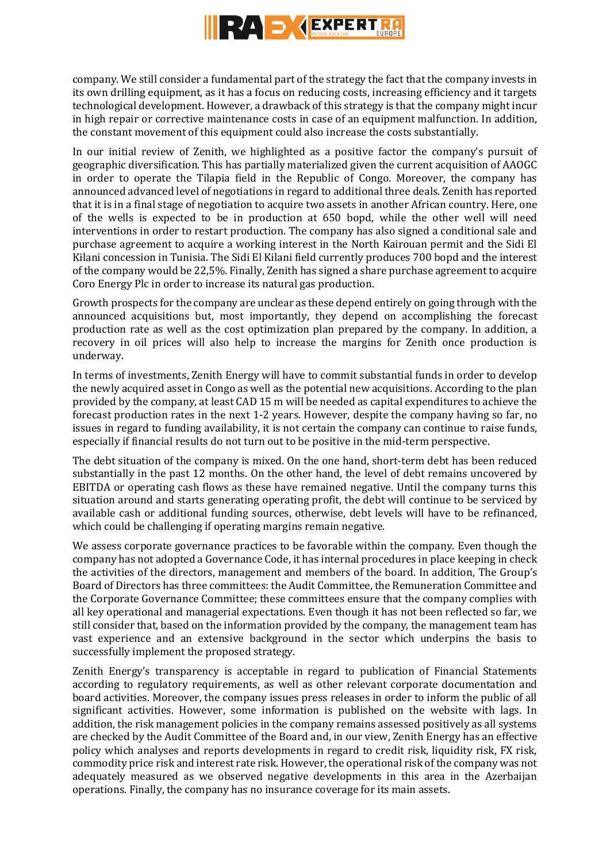

company. We still consider a fundamental part of the strategy the fact that the company invests in its own drilling equipment, as it has a focus on reducing costs, increasing efficiency and it targets technological development. However, a drawback of this strategy is that the company might incur in high repair or corrective maintenance costs in case of an equipment malfunction. In addition, the constant movement of this equipment could also increase the costs substantially.

In our initial review of Zenith, we highlighted as a positive factor the company's pursuit of geographic diversification. This has partially materialized given the current acquisition of AAOGC in order to operate the Tilapia field in the Republic of Congo. Moreover, the company has announced advanced level of negotiations in regard to additional three deals. Zenith has reported that it is in a final stage of negotiation to acquire two assets in another African country. Here, one of the wells is expected to be in production at 650 bopd, while the other well will need interventions in order to restart production. The company has also signed a conditional sale and purchase agreement to acquire a working interest in the North Kairouan permit and the Sidi El Kilani concession in Tunisia. The Sidi El Kilani field currently produces 700 bopd and the interest of the company would be 22,5%. Finally, Zenith has signed a share purchase agreement to acquire Coro Energy Plc in order to increase its natural gas production.

Growth prospects for the company are unclear as these depend entirely on going through with the announced acquisitions but, most importantly, they depend on accomplishing the forecast production rate as well as the cost optimization plan prepared by the company. In addition, a recovery in oil prices will also help to increase the margins for Zenith once production is underway.

In terms of investments, Zenith Energy will have to commit substantial funds in order to develop the newly acquired asset in Congo as well as the potential new acquisitions. According to the plan provided by the company, at least CAD 15 m will be needed as capital expenditures to achieve the forecast production rates in the next 1-2 years. However, despite the company having so far, no issues in regard to funding availability, it is not certain the company can continue to raise funds, especially if financial results do not turn out to be positive in the mid-term perspective.

The debt situation of the company is mixed. On the one hand, short-term debt has been reduced substantially in the past 12 months. On the other hand, the level of debt remains uncovered by EBITDA or operating cash flows as these have remained negative. Until the company turns this situation around and starts generating operating profit, the debt will continue to be serviced by available cash or additional funding sources, otherwise, debt levels will have to be refinanced, which could be challenging if operating margins remain negative.

We assess corporate governance practices to be favorable within the company. Even though the company has not adopted a Governance Code, it has internal procedures in place keeping in check the activities of the directors, management and members of the board. In addition, The Group's Board of Directors has three committees: the Audit Committee, the Remuneration Committee and the Corporate Governance Committee; these committees ensure that the company complies with all key operational and managerial expectations. Even though it has not been reflected so far, we still consider that, based on the information provided by the company, the management team has vast experience and an extensive background in the sector which underpins the basis to successfully implement the proposed strategy.

Zenith Energy's transparency is acceptable in regard to publication of Financial Statements according to regulatory requirements, as well as other relevant corporate documentation and board activities. Moreover, the company issues press releases in order to inform the public of all significant activities. However, some information is published on the website with lags. In addition, the risk management policies in the company remains assessed positively as all systems are checked by the Audit Committee of the Board and, in our view, Zenith Energy has an effective policy which analyses and reports developments in regard to credit risk, liquidity risk, FX risk, commodity price risk and interest rate risk. However, the operational risk of the company was not adequately measured as we observed negative developments in this area in the Azerbaijan operations. Finally, the company has no insurance coverage for its main assets.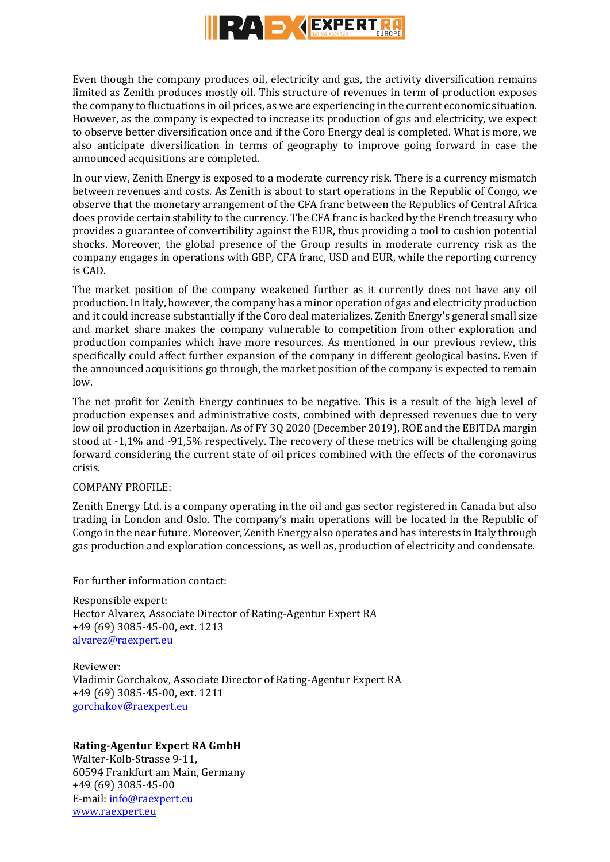

Even though the company produces oil, electricity and gas, the activity diversification remains limited as Zenith produces mostly oil. This structure of revenues in term of production exposes the company to fluctuations in oil prices, as we are experiencing in the current economic situation. However, as the company is expected to increase its production of gas and electricity, we expect to observe better diversification once and if the Coro Energy deal is completed. What is more, we also anticipate diversification in terms of geography to improve going forward in case the announced acquisitions are completed.

In our view, Zenith Energy is exposed to a moderate currency risk. There is a currency mismatch between revenues and costs. As Zenith is about to start operations in the Republic of Congo, we observe that the monetary arrangement of the CFA franc between the Republics of Central Africa does provide certain stability to the currency. The CFA franc is backed by the French treasury who provides a guarantee of convertibility against the EUR, thus providing a tool to cushion potential shocks. Moreover, the global presence of the Group results in moderate currency risk as the company engages in operations with GBP, CFA franc, USD and EUR, while the reporting currency is CAD.

The market position of the company weakened further as it currently does not have any oil production. In Italy, however, the company has a minor operation of gas and electricity production and it could increase substantially if the Coro deal materializes. Zenith Energy's general small size and market share makes the company vulnerable to competition from other exploration and production companies which have more resources. As mentioned in our previous review, this specifically could affect further expansion of the company in different geological basins. Even if the announced acquisitions go through, the market position of the company is expected to remain low.

The net profit for Zenith Energy continues to be negative. This is a result of the high level of production expenses and administrative costs, combined with depressed revenues due to very low oil production in Azerbaijan. As of FY 3Q 2020 (December 2019), ROE and the EBITDA margin stood at -1,1% and -91,5% respectively. The recovery of these metrics will be challenging going forward considering the current state of oil prices combined with the effects of the coronavirus crisis.

### COMPANY PROFILE:

Zenith Energy Ltd. is a company operating in the oil and gas sector registered in Canada but also trading in London and Oslo. The company's main operations will be located in the Republic of Congo in the near future. Moreover, Zenith Energy also operates and has interests in Italy through gas production and exploration concessions, as well as, production of electricity and condensate.

For further information contact:

Responsible expert: Hector Alvarez, Associate Director of Rating-Agentur Expert RA +49 (69) 3085-45-00, ext. 1213 [alvarez@raexpert.eu](mailto:alvarez@raexpert.eu)

Reviewer: Vladimir Gorchakov, Associate Director of Rating-Agentur Expert RA +49 (69) 3085-45-00, ext. 1211 [gorchakov@raexpert.eu](mailto:gorchakov@raexpert.eu)

### **Rating-Agentur Expert RA GmbH**

Walter-Kolb-Strasse 9-11, 60594 Frankfurt am Main, Germany +49 (69) 3085-45-00 E-mail[: info@raexpert.eu](mailto:info@raexpert.eu) [www.raexpert.eu](http://raexpert.eu/)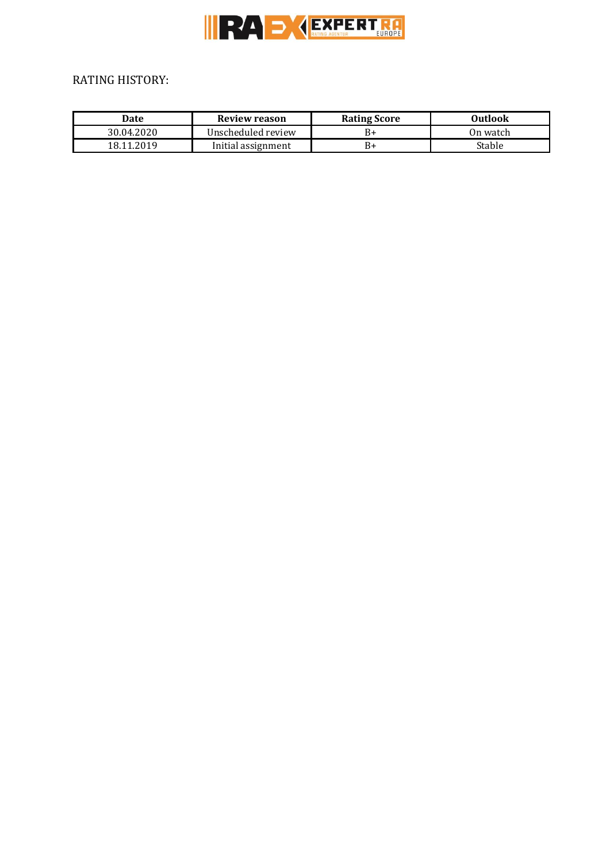

# RATING HISTORY:

| Date       | Review reason      | <b>Rating Score</b> | Outlook   |
|------------|--------------------|---------------------|-----------|
| 30.04.2020 | Unscheduled review | B١                  | On watch- |
| 18.11.2019 | Initial assignment | B-                  | Stable    |